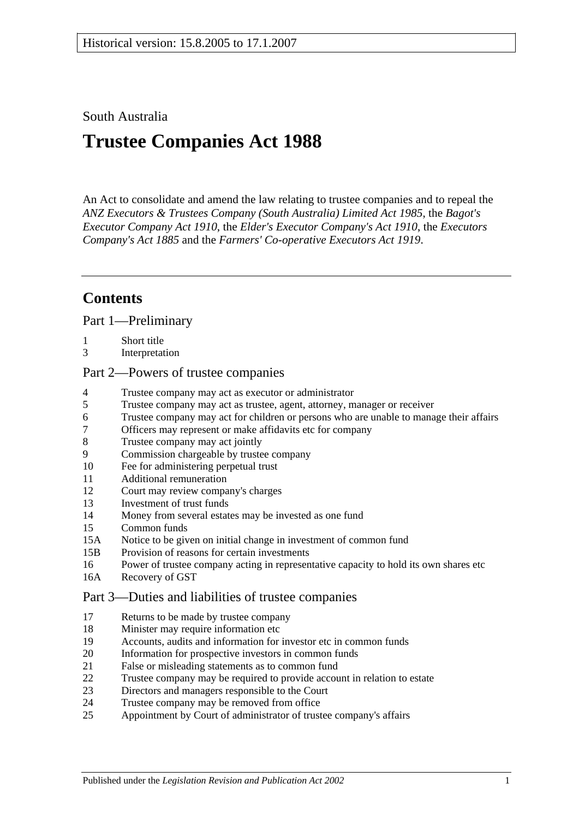### South Australia

# **Trustee Companies Act 1988**

An Act to consolidate and amend the law relating to trustee companies and to repeal the *[ANZ Executors & Trustees Company \(South Australia\) Limited Act](http://www.legislation.sa.gov.au/index.aspx?action=legref&type=act&legtitle=ANZ%20Executors%20and%20Trustees%20Company%20(South%20Australia)%20Limited%20Act%201985) 1985*, the *[Bagot's](http://www.legislation.sa.gov.au/index.aspx?action=legref&type=act&legtitle=Bagots%20Executor%20Company%20Act%201910)  [Executor Company Act](http://www.legislation.sa.gov.au/index.aspx?action=legref&type=act&legtitle=Bagots%20Executor%20Company%20Act%201910) 1910*, the *[Elder's Executor Company's Act](http://www.legislation.sa.gov.au/index.aspx?action=legref&type=act&legtitle=Elders%20Executor%20Companys%20Act%201910) 1910*, the *[Executors](http://www.legislation.sa.gov.au/index.aspx?action=legref&type=act&legtitle=Executors%20Companys%20Act%201885)  [Company's Act](http://www.legislation.sa.gov.au/index.aspx?action=legref&type=act&legtitle=Executors%20Companys%20Act%201885) 1885* and the *[Farmers' Co-operative Executors Act](http://www.legislation.sa.gov.au/index.aspx?action=legref&type=act&legtitle=Farmers%20Co-operative%20Executors%20Act%201919) 1919*.

## **Contents**

[Part 1—Preliminary](#page-1-0)

- 1 [Short title](#page-1-1)
- 3 [Interpretation](#page-1-2)

### [Part 2—Powers of trustee companies](#page-2-0)

- 4 [Trustee company may act as executor or administrator](#page-2-1)
- 5 [Trustee company may act as trustee, agent, attorney, manager or receiver](#page-3-0)
- 6 [Trustee company may act for children or persons who are unable to manage their affairs](#page-3-1)
- 7 [Officers may represent or make affidavits etc for company](#page-3-2)
- 8 [Trustee company may act jointly](#page-3-3)<br>9 Commission chargeable by truste
- [Commission chargeable by trustee company](#page-3-4)
- 10 [Fee for administering perpetual trust](#page-4-0)
- 11 [Additional remuneration](#page-5-0)
- 12 [Court may review company's charges](#page-5-1)
- 13 [Investment of trust funds](#page-6-0)
- 14 [Money from several estates may be invested as one fund](#page-6-1)
- 15 [Common funds](#page-6-2)
- 15A [Notice to be given on initial change in investment of common fund](#page-7-0)
- 15B [Provision of reasons for certain investments](#page-7-1)
- 16 [Power of trustee company acting in representative capacity to hold its own shares etc](#page-8-0)
- 16A [Recovery of GST](#page-8-1)

#### [Part 3—Duties and liabilities of trustee companies](#page-9-0)

- 17 [Returns to be made by trustee company](#page-9-1)
- 18 [Minister may require information etc](#page-9-2)
- 19 [Accounts, audits and information for investor etc in common funds](#page-10-0)
- 20 [Information for prospective investors in common funds](#page-11-0)
- 21 [False or misleading statements as to common fund](#page-11-1)
- 22 [Trustee company may be required to provide account in relation to estate](#page-12-0)
- 23 [Directors and managers responsible to the Court](#page-12-1)
- 24 [Trustee company may be removed from office](#page-12-2)
- 25 [Appointment by Court of administrator of trustee company's affairs](#page-12-3)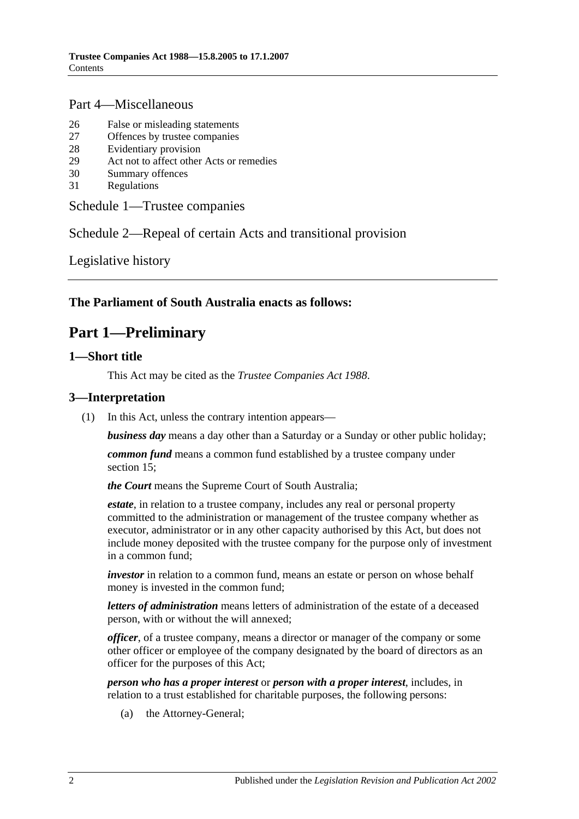### [Part 4—Miscellaneous](#page-13-0)

- 26 [False or misleading statements](#page-13-1)
- 27 [Offences by trustee companies](#page-13-2)
- 28 [Evidentiary provision](#page-13-3)
- 29 [Act not to affect other Acts or remedies](#page-13-4)
- 30 [Summary offences](#page-14-0)
- 31 [Regulations](#page-14-1)

### [Schedule 1—Trustee companies](#page-14-2)

## Schedule [2—Repeal of certain Acts and transitional provision](#page-14-3)

[Legislative history](#page-15-0)

### <span id="page-1-0"></span>**The Parliament of South Australia enacts as follows:**

## **Part 1—Preliminary**

## <span id="page-1-1"></span>**1—Short title**

This Act may be cited as the *Trustee Companies Act 1988*.

### <span id="page-1-2"></span>**3—Interpretation**

(1) In this Act, unless the contrary intention appears—

*business day* means a day other than a Saturday or a Sunday or other public holiday;

*common fund* means a common fund established by a trustee company under [section](#page-6-2) 15;

*the Court* means the Supreme Court of South Australia;

*estate*, in relation to a trustee company, includes any real or personal property committed to the administration or management of the trustee company whether as executor, administrator or in any other capacity authorised by this Act, but does not include money deposited with the trustee company for the purpose only of investment in a common fund;

*investor* in relation to a common fund, means an estate or person on whose behalf money is invested in the common fund;

*letters of administration* means letters of administration of the estate of a deceased person, with or without the will annexed;

*officer*, of a trustee company, means a director or manager of the company or some other officer or employee of the company designated by the board of directors as an officer for the purposes of this Act;

*person who has a proper interest* or *person with a proper interest*, includes, in relation to a trust established for charitable purposes, the following persons:

(a) the Attorney-General;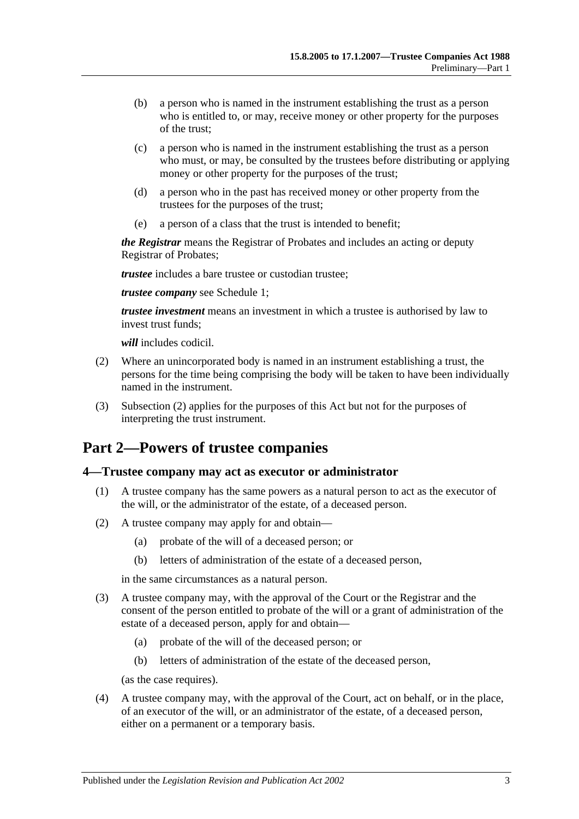- (b) a person who is named in the instrument establishing the trust as a person who is entitled to, or may, receive money or other property for the purposes of the trust;
- (c) a person who is named in the instrument establishing the trust as a person who must, or may, be consulted by the trustees before distributing or applying money or other property for the purposes of the trust;
- (d) a person who in the past has received money or other property from the trustees for the purposes of the trust;
- (e) a person of a class that the trust is intended to benefit;

*the Registrar* means the Registrar of Probates and includes an acting or deputy Registrar of Probates;

*trustee* includes a bare trustee or custodian trustee;

*trustee company* see [Schedule 1;](#page-14-2)

*trustee investment* means an investment in which a trustee is authorised by law to invest trust funds;

*will* includes codicil.

- <span id="page-2-2"></span>(2) Where an unincorporated body is named in an instrument establishing a trust, the persons for the time being comprising the body will be taken to have been individually named in the instrument.
- (3) [Subsection](#page-2-2) (2) applies for the purposes of this Act but not for the purposes of interpreting the trust instrument.

## <span id="page-2-0"></span>**Part 2—Powers of trustee companies**

### <span id="page-2-1"></span>**4—Trustee company may act as executor or administrator**

- (1) A trustee company has the same powers as a natural person to act as the executor of the will, or the administrator of the estate, of a deceased person.
- (2) A trustee company may apply for and obtain—
	- (a) probate of the will of a deceased person; or
	- (b) letters of administration of the estate of a deceased person,

in the same circumstances as a natural person.

- (3) A trustee company may, with the approval of the Court or the Registrar and the consent of the person entitled to probate of the will or a grant of administration of the estate of a deceased person, apply for and obtain—
	- (a) probate of the will of the deceased person; or
	- (b) letters of administration of the estate of the deceased person,

(as the case requires).

(4) A trustee company may, with the approval of the Court, act on behalf, or in the place, of an executor of the will, or an administrator of the estate, of a deceased person, either on a permanent or a temporary basis.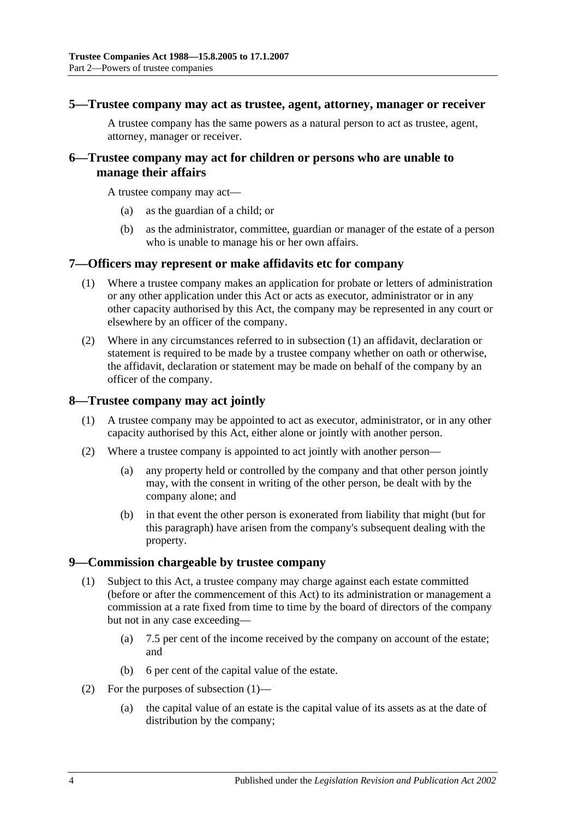#### <span id="page-3-0"></span>**5—Trustee company may act as trustee, agent, attorney, manager or receiver**

A trustee company has the same powers as a natural person to act as trustee, agent, attorney, manager or receiver.

### <span id="page-3-1"></span>**6—Trustee company may act for children or persons who are unable to manage their affairs**

A trustee company may act—

- (a) as the guardian of a child; or
- (b) as the administrator, committee, guardian or manager of the estate of a person who is unable to manage his or her own affairs.

### <span id="page-3-5"></span><span id="page-3-2"></span>**7—Officers may represent or make affidavits etc for company**

- (1) Where a trustee company makes an application for probate or letters of administration or any other application under this Act or acts as executor, administrator or in any other capacity authorised by this Act, the company may be represented in any court or elsewhere by an officer of the company.
- (2) Where in any circumstances referred to in [subsection](#page-3-5) (1) an affidavit, declaration or statement is required to be made by a trustee company whether on oath or otherwise, the affidavit, declaration or statement may be made on behalf of the company by an officer of the company.

### <span id="page-3-3"></span>**8—Trustee company may act jointly**

- (1) A trustee company may be appointed to act as executor, administrator, or in any other capacity authorised by this Act, either alone or jointly with another person.
- (2) Where a trustee company is appointed to act jointly with another person—
	- (a) any property held or controlled by the company and that other person jointly may, with the consent in writing of the other person, be dealt with by the company alone; and
	- (b) in that event the other person is exonerated from liability that might (but for this paragraph) have arisen from the company's subsequent dealing with the property.

### <span id="page-3-6"></span><span id="page-3-4"></span>**9—Commission chargeable by trustee company**

- (1) Subject to this Act, a trustee company may charge against each estate committed (before or after the commencement of this Act) to its administration or management a commission at a rate fixed from time to time by the board of directors of the company but not in any case exceeding—
	- (a) 7.5 per cent of the income received by the company on account of the estate; and
	- (b) 6 per cent of the capital value of the estate.
- (2) For the purposes of [subsection](#page-3-6) (1)—
	- (a) the capital value of an estate is the capital value of its assets as at the date of distribution by the company;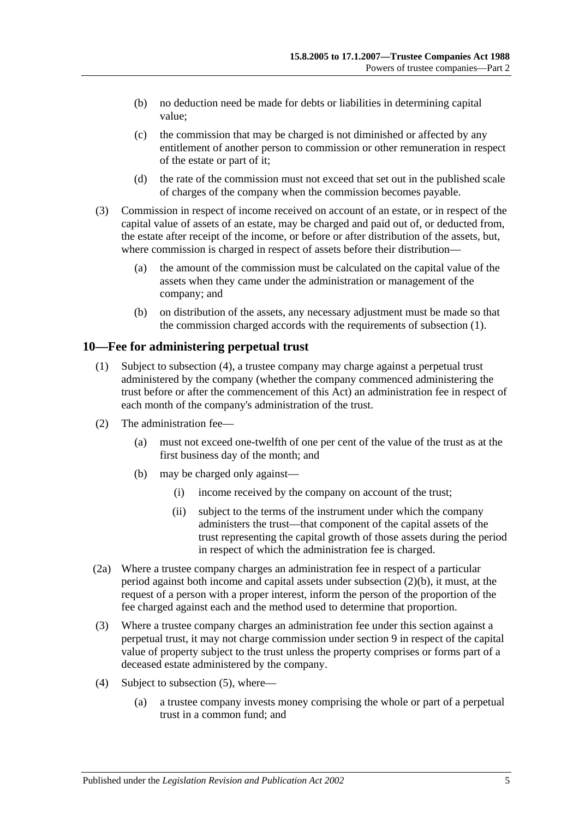- (b) no deduction need be made for debts or liabilities in determining capital value;
- (c) the commission that may be charged is not diminished or affected by any entitlement of another person to commission or other remuneration in respect of the estate or part of it;
- (d) the rate of the commission must not exceed that set out in the published scale of charges of the company when the commission becomes payable.
- (3) Commission in respect of income received on account of an estate, or in respect of the capital value of assets of an estate, may be charged and paid out of, or deducted from, the estate after receipt of the income, or before or after distribution of the assets, but, where commission is charged in respect of assets before their distribution—
	- (a) the amount of the commission must be calculated on the capital value of the assets when they came under the administration or management of the company; and
	- (b) on distribution of the assets, any necessary adjustment must be made so that the commission charged accords with the requirements of [subsection](#page-3-6) (1).

### <span id="page-4-0"></span>**10—Fee for administering perpetual trust**

- (1) Subject to [subsection](#page-4-1) (4), a trustee company may charge against a perpetual trust administered by the company (whether the company commenced administering the trust before or after the commencement of this Act) an administration fee in respect of each month of the company's administration of the trust.
- <span id="page-4-2"></span>(2) The administration fee—
	- (a) must not exceed one-twelfth of one per cent of the value of the trust as at the first business day of the month; and
	- (b) may be charged only against—
		- (i) income received by the company on account of the trust;
		- (ii) subject to the terms of the instrument under which the company administers the trust—that component of the capital assets of the trust representing the capital growth of those assets during the period in respect of which the administration fee is charged.
- (2a) Where a trustee company charges an administration fee in respect of a particular period against both income and capital assets under [subsection](#page-4-2) (2)(b), it must, at the request of a person with a proper interest, inform the person of the proportion of the fee charged against each and the method used to determine that proportion.
- (3) Where a trustee company charges an administration fee under this section against a perpetual trust, it may not charge commission under [section](#page-3-4) 9 in respect of the capital value of property subject to the trust unless the property comprises or forms part of a deceased estate administered by the company.
- <span id="page-4-1"></span>(4) Subject to [subsection](#page-5-2) (5), where—
	- (a) a trustee company invests money comprising the whole or part of a perpetual trust in a common fund; and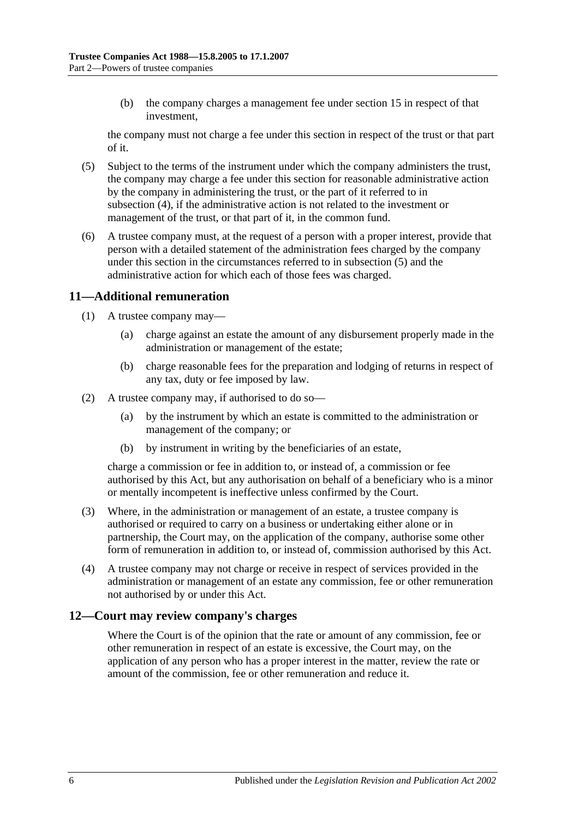(b) the company charges a management fee under [section](#page-6-2) 15 in respect of that investment,

the company must not charge a fee under this section in respect of the trust or that part of it.

- <span id="page-5-2"></span>(5) Subject to the terms of the instrument under which the company administers the trust, the company may charge a fee under this section for reasonable administrative action by the company in administering the trust, or the part of it referred to in [subsection](#page-4-1) (4), if the administrative action is not related to the investment or management of the trust, or that part of it, in the common fund.
- (6) A trustee company must, at the request of a person with a proper interest, provide that person with a detailed statement of the administration fees charged by the company under this section in the circumstances referred to in [subsection](#page-5-2) (5) and the administrative action for which each of those fees was charged.

## <span id="page-5-0"></span>**11—Additional remuneration**

- (1) A trustee company may—
	- (a) charge against an estate the amount of any disbursement properly made in the administration or management of the estate;
	- (b) charge reasonable fees for the preparation and lodging of returns in respect of any tax, duty or fee imposed by law.
- (2) A trustee company may, if authorised to do so—
	- (a) by the instrument by which an estate is committed to the administration or management of the company; or
	- (b) by instrument in writing by the beneficiaries of an estate,

charge a commission or fee in addition to, or instead of, a commission or fee authorised by this Act, but any authorisation on behalf of a beneficiary who is a minor or mentally incompetent is ineffective unless confirmed by the Court.

- (3) Where, in the administration or management of an estate, a trustee company is authorised or required to carry on a business or undertaking either alone or in partnership, the Court may, on the application of the company, authorise some other form of remuneration in addition to, or instead of, commission authorised by this Act.
- (4) A trustee company may not charge or receive in respect of services provided in the administration or management of an estate any commission, fee or other remuneration not authorised by or under this Act.

### <span id="page-5-1"></span>**12—Court may review company's charges**

Where the Court is of the opinion that the rate or amount of any commission, fee or other remuneration in respect of an estate is excessive, the Court may, on the application of any person who has a proper interest in the matter, review the rate or amount of the commission, fee or other remuneration and reduce it.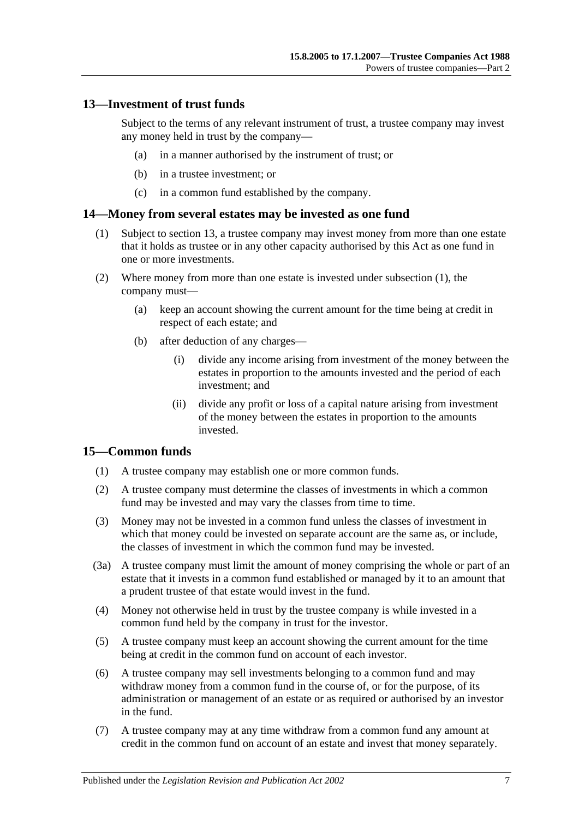### <span id="page-6-0"></span>**13—Investment of trust funds**

Subject to the terms of any relevant instrument of trust, a trustee company may invest any money held in trust by the company—

- (a) in a manner authorised by the instrument of trust; or
- (b) in a trustee investment; or
- (c) in a common fund established by the company.

### <span id="page-6-3"></span><span id="page-6-1"></span>**14—Money from several estates may be invested as one fund**

- (1) Subject to [section](#page-6-0) 13, a trustee company may invest money from more than one estate that it holds as trustee or in any other capacity authorised by this Act as one fund in one or more investments.
- (2) Where money from more than one estate is invested under [subsection](#page-6-3) (1), the company must—
	- (a) keep an account showing the current amount for the time being at credit in respect of each estate; and
	- (b) after deduction of any charges—
		- (i) divide any income arising from investment of the money between the estates in proportion to the amounts invested and the period of each investment; and
		- (ii) divide any profit or loss of a capital nature arising from investment of the money between the estates in proportion to the amounts invested.

### <span id="page-6-2"></span>**15—Common funds**

- (1) A trustee company may establish one or more common funds.
- (2) A trustee company must determine the classes of investments in which a common fund may be invested and may vary the classes from time to time.
- (3) Money may not be invested in a common fund unless the classes of investment in which that money could be invested on separate account are the same as, or include, the classes of investment in which the common fund may be invested.
- (3a) A trustee company must limit the amount of money comprising the whole or part of an estate that it invests in a common fund established or managed by it to an amount that a prudent trustee of that estate would invest in the fund.
- (4) Money not otherwise held in trust by the trustee company is while invested in a common fund held by the company in trust for the investor.
- (5) A trustee company must keep an account showing the current amount for the time being at credit in the common fund on account of each investor.
- (6) A trustee company may sell investments belonging to a common fund and may withdraw money from a common fund in the course of, or for the purpose, of its administration or management of an estate or as required or authorised by an investor in the fund.
- (7) A trustee company may at any time withdraw from a common fund any amount at credit in the common fund on account of an estate and invest that money separately.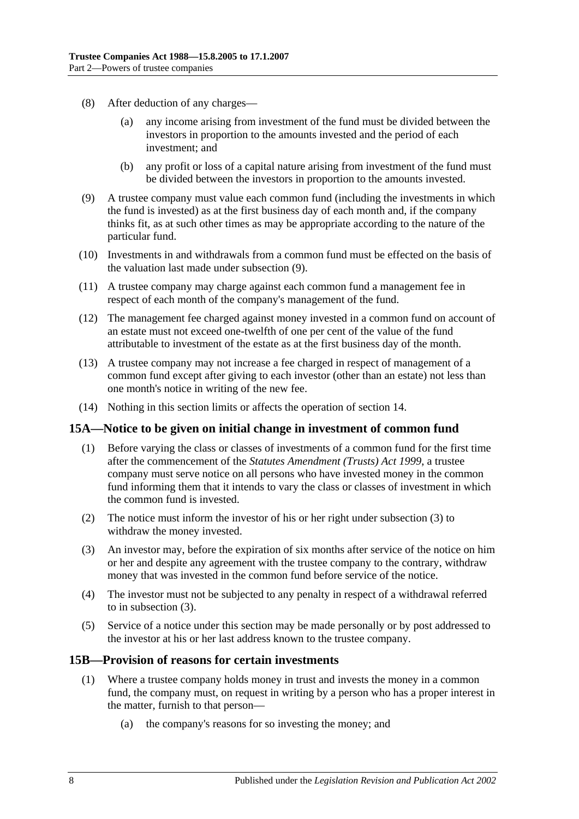- (8) After deduction of any charges
	- any income arising from investment of the fund must be divided between the investors in proportion to the amounts invested and the period of each investment; and
	- (b) any profit or loss of a capital nature arising from investment of the fund must be divided between the investors in proportion to the amounts invested.
- <span id="page-7-2"></span>(9) A trustee company must value each common fund (including the investments in which the fund is invested) as at the first business day of each month and, if the company thinks fit, as at such other times as may be appropriate according to the nature of the particular fund.
- (10) Investments in and withdrawals from a common fund must be effected on the basis of the valuation last made under [subsection](#page-7-2) (9).
- (11) A trustee company may charge against each common fund a management fee in respect of each month of the company's management of the fund.
- (12) The management fee charged against money invested in a common fund on account of an estate must not exceed one-twelfth of one per cent of the value of the fund attributable to investment of the estate as at the first business day of the month.
- (13) A trustee company may not increase a fee charged in respect of management of a common fund except after giving to each investor (other than an estate) not less than one month's notice in writing of the new fee.
- (14) Nothing in this section limits or affects the operation of [section](#page-6-1) 14.

### <span id="page-7-0"></span>**15A—Notice to be given on initial change in investment of common fund**

- (1) Before varying the class or classes of investments of a common fund for the first time after the commencement of the *[Statutes Amendment \(Trusts\) Act](http://www.legislation.sa.gov.au/index.aspx?action=legref&type=act&legtitle=Statutes%20Amendment%20(Trusts)%20Act%201999) 1999*, a trustee company must serve notice on all persons who have invested money in the common fund informing them that it intends to vary the class or classes of investment in which the common fund is invested.
- (2) The notice must inform the investor of his or her right under [subsection](#page-7-3) (3) to withdraw the money invested.
- <span id="page-7-3"></span>(3) An investor may, before the expiration of six months after service of the notice on him or her and despite any agreement with the trustee company to the contrary, withdraw money that was invested in the common fund before service of the notice.
- (4) The investor must not be subjected to any penalty in respect of a withdrawal referred to in [subsection](#page-7-3) (3).
- (5) Service of a notice under this section may be made personally or by post addressed to the investor at his or her last address known to the trustee company.

### <span id="page-7-1"></span>**15B—Provision of reasons for certain investments**

- (1) Where a trustee company holds money in trust and invests the money in a common fund, the company must, on request in writing by a person who has a proper interest in the matter, furnish to that person—
	- (a) the company's reasons for so investing the money; and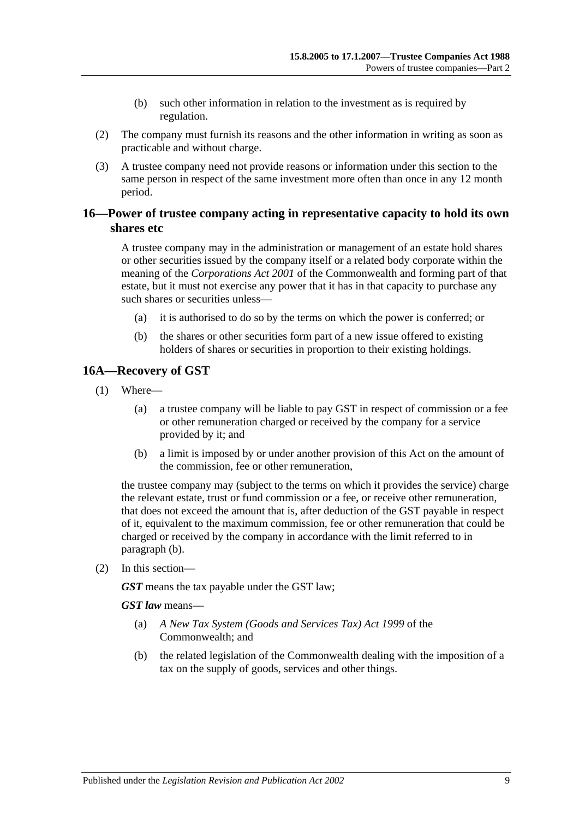- (b) such other information in relation to the investment as is required by regulation.
- (2) The company must furnish its reasons and the other information in writing as soon as practicable and without charge.
- (3) A trustee company need not provide reasons or information under this section to the same person in respect of the same investment more often than once in any 12 month period.

### <span id="page-8-0"></span>**16—Power of trustee company acting in representative capacity to hold its own shares etc**

A trustee company may in the administration or management of an estate hold shares or other securities issued by the company itself or a related body corporate within the meaning of the *Corporations Act 2001* of the Commonwealth and forming part of that estate, but it must not exercise any power that it has in that capacity to purchase any such shares or securities unless—

- (a) it is authorised to do so by the terms on which the power is conferred; or
- (b) the shares or other securities form part of a new issue offered to existing holders of shares or securities in proportion to their existing holdings.

### <span id="page-8-1"></span>**16A—Recovery of GST**

- (1) Where—
	- (a) a trustee company will be liable to pay GST in respect of commission or a fee or other remuneration charged or received by the company for a service provided by it; and
	- (b) a limit is imposed by or under another provision of this Act on the amount of the commission, fee or other remuneration,

<span id="page-8-2"></span>the trustee company may (subject to the terms on which it provides the service) charge the relevant estate, trust or fund commission or a fee, or receive other remuneration, that does not exceed the amount that is, after deduction of the GST payable in respect of it, equivalent to the maximum commission, fee or other remuneration that could be charged or received by the company in accordance with the limit referred to in [paragraph](#page-8-2) (b).

(2) In this section—

*GST* means the tax payable under the GST law;

*GST law* means—

- (a) *A New Tax System (Goods and Services Tax) Act 1999* of the Commonwealth; and
- (b) the related legislation of the Commonwealth dealing with the imposition of a tax on the supply of goods, services and other things.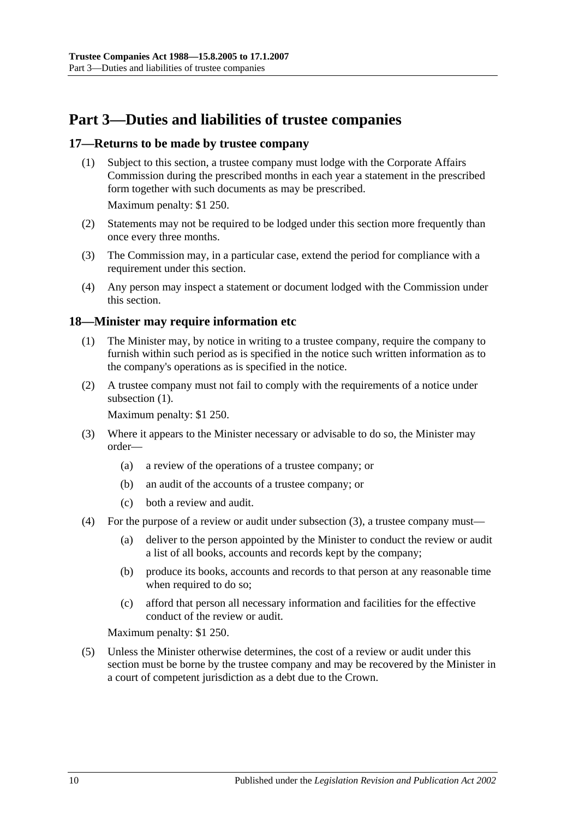## <span id="page-9-0"></span>**Part 3—Duties and liabilities of trustee companies**

### <span id="page-9-1"></span>**17—Returns to be made by trustee company**

(1) Subject to this section, a trustee company must lodge with the Corporate Affairs Commission during the prescribed months in each year a statement in the prescribed form together with such documents as may be prescribed.

Maximum penalty: \$1 250.

- (2) Statements may not be required to be lodged under this section more frequently than once every three months.
- (3) The Commission may, in a particular case, extend the period for compliance with a requirement under this section.
- (4) Any person may inspect a statement or document lodged with the Commission under this section.

### <span id="page-9-3"></span><span id="page-9-2"></span>**18—Minister may require information etc**

- (1) The Minister may, by notice in writing to a trustee company, require the company to furnish within such period as is specified in the notice such written information as to the company's operations as is specified in the notice.
- (2) A trustee company must not fail to comply with the requirements of a notice under [subsection](#page-9-3)  $(1)$ .

Maximum penalty: \$1 250.

- <span id="page-9-4"></span>(3) Where it appears to the Minister necessary or advisable to do so, the Minister may order—
	- (a) a review of the operations of a trustee company; or
	- (b) an audit of the accounts of a trustee company; or
	- (c) both a review and audit.
- (4) For the purpose of a review or audit under [subsection](#page-9-4) (3), a trustee company must—
	- (a) deliver to the person appointed by the Minister to conduct the review or audit a list of all books, accounts and records kept by the company;
	- (b) produce its books, accounts and records to that person at any reasonable time when required to do so;
	- (c) afford that person all necessary information and facilities for the effective conduct of the review or audit.

Maximum penalty: \$1 250.

(5) Unless the Minister otherwise determines, the cost of a review or audit under this section must be borne by the trustee company and may be recovered by the Minister in a court of competent jurisdiction as a debt due to the Crown.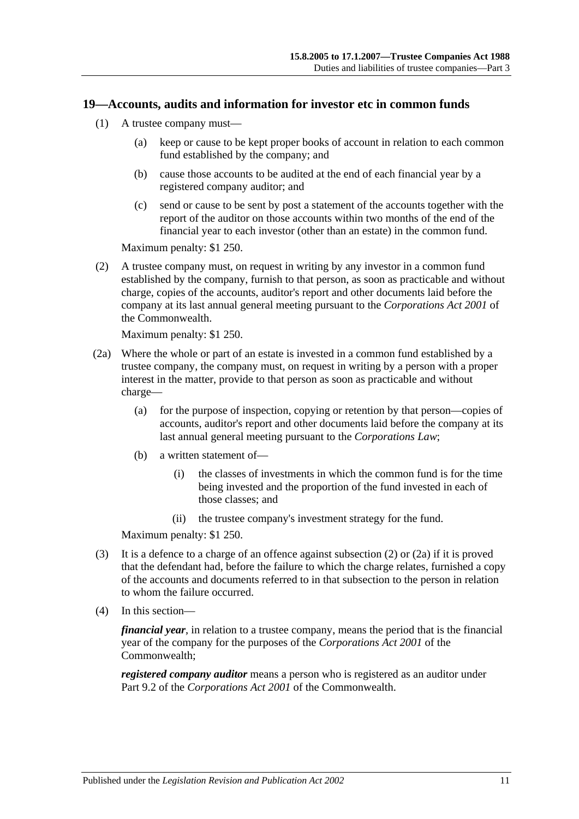### <span id="page-10-0"></span>**19—Accounts, audits and information for investor etc in common funds**

- (1) A trustee company must—
	- (a) keep or cause to be kept proper books of account in relation to each common fund established by the company; and
	- (b) cause those accounts to be audited at the end of each financial year by a registered company auditor; and
	- (c) send or cause to be sent by post a statement of the accounts together with the report of the auditor on those accounts within two months of the end of the financial year to each investor (other than an estate) in the common fund.

Maximum penalty: \$1 250.

<span id="page-10-1"></span>(2) A trustee company must, on request in writing by any investor in a common fund established by the company, furnish to that person, as soon as practicable and without charge, copies of the accounts, auditor's report and other documents laid before the company at its last annual general meeting pursuant to the *Corporations Act 2001* of the Commonwealth.

Maximum penalty: \$1 250.

- <span id="page-10-2"></span>(2a) Where the whole or part of an estate is invested in a common fund established by a trustee company, the company must, on request in writing by a person with a proper interest in the matter, provide to that person as soon as practicable and without charge—
	- (a) for the purpose of inspection, copying or retention by that person—copies of accounts, auditor's report and other documents laid before the company at its last annual general meeting pursuant to the *Corporations Law*;
	- (b) a written statement of—
		- (i) the classes of investments in which the common fund is for the time being invested and the proportion of the fund invested in each of those classes; and
		- (ii) the trustee company's investment strategy for the fund.

Maximum penalty: \$1 250.

- (3) It is a defence to a charge of an offence against [subsection](#page-10-1) (2) or [\(2a\)](#page-10-2) if it is proved that the defendant had, before the failure to which the charge relates, furnished a copy of the accounts and documents referred to in that subsection to the person in relation to whom the failure occurred.
- (4) In this section—

*financial year*, in relation to a trustee company, means the period that is the financial year of the company for the purposes of the *Corporations Act 2001* of the Commonwealth;

*registered company auditor* means a person who is registered as an auditor under Part 9.2 of the *Corporations Act 2001* of the Commonwealth.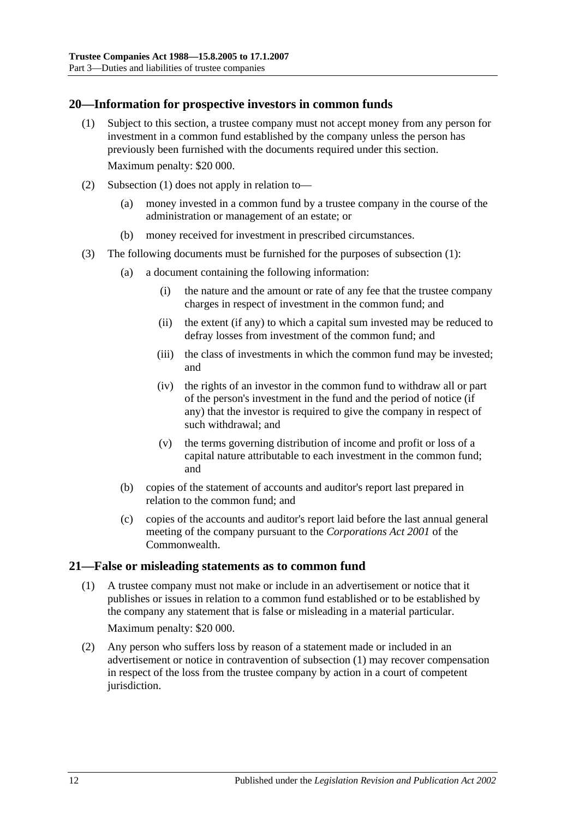### <span id="page-11-2"></span><span id="page-11-0"></span>**20—Information for prospective investors in common funds**

- (1) Subject to this section, a trustee company must not accept money from any person for investment in a common fund established by the company unless the person has previously been furnished with the documents required under this section. Maximum penalty: \$20 000.
- (2) [Subsection](#page-11-2) (1) does not apply in relation to—
	- (a) money invested in a common fund by a trustee company in the course of the administration or management of an estate; or
	- (b) money received for investment in prescribed circumstances.
- (3) The following documents must be furnished for the purposes of [subsection](#page-11-2) (1):
	- (a) a document containing the following information:
		- (i) the nature and the amount or rate of any fee that the trustee company charges in respect of investment in the common fund; and
		- (ii) the extent (if any) to which a capital sum invested may be reduced to defray losses from investment of the common fund; and
		- (iii) the class of investments in which the common fund may be invested; and
		- (iv) the rights of an investor in the common fund to withdraw all or part of the person's investment in the fund and the period of notice (if any) that the investor is required to give the company in respect of such withdrawal; and
		- (v) the terms governing distribution of income and profit or loss of a capital nature attributable to each investment in the common fund; and
	- (b) copies of the statement of accounts and auditor's report last prepared in relation to the common fund; and
	- (c) copies of the accounts and auditor's report laid before the last annual general meeting of the company pursuant to the *Corporations Act 2001* of the Commonwealth.

### <span id="page-11-3"></span><span id="page-11-1"></span>**21—False or misleading statements as to common fund**

- (1) A trustee company must not make or include in an advertisement or notice that it publishes or issues in relation to a common fund established or to be established by the company any statement that is false or misleading in a material particular. Maximum penalty: \$20 000.
- (2) Any person who suffers loss by reason of a statement made or included in an advertisement or notice in contravention of [subsection](#page-11-3) (1) may recover compensation in respect of the loss from the trustee company by action in a court of competent jurisdiction.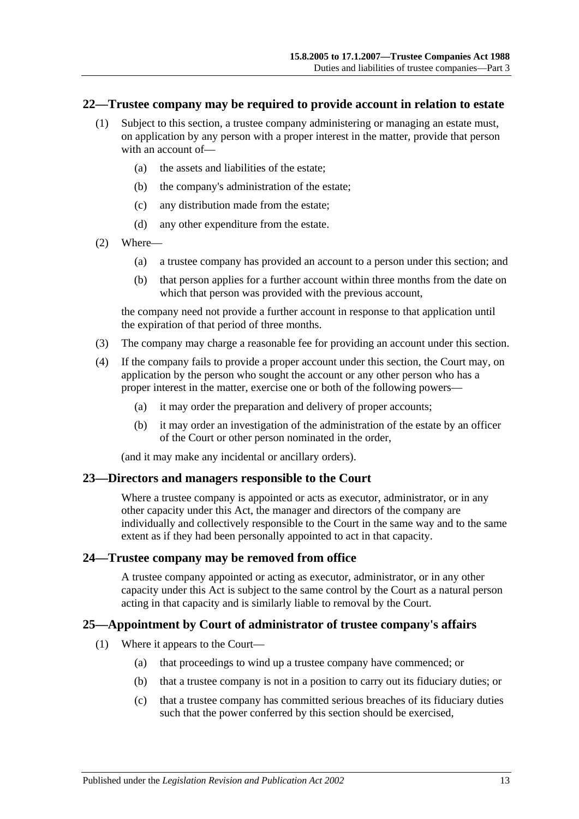#### <span id="page-12-0"></span>**22—Trustee company may be required to provide account in relation to estate**

- (1) Subject to this section, a trustee company administering or managing an estate must, on application by any person with a proper interest in the matter, provide that person with an account of—
	- (a) the assets and liabilities of the estate;
	- (b) the company's administration of the estate;
	- (c) any distribution made from the estate;
	- (d) any other expenditure from the estate.
- (2) Where—
	- (a) a trustee company has provided an account to a person under this section; and
	- (b) that person applies for a further account within three months from the date on which that person was provided with the previous account,

the company need not provide a further account in response to that application until the expiration of that period of three months.

- (3) The company may charge a reasonable fee for providing an account under this section.
- (4) If the company fails to provide a proper account under this section, the Court may, on application by the person who sought the account or any other person who has a proper interest in the matter, exercise one or both of the following powers—
	- (a) it may order the preparation and delivery of proper accounts;
	- (b) it may order an investigation of the administration of the estate by an officer of the Court or other person nominated in the order,

(and it may make any incidental or ancillary orders).

#### <span id="page-12-1"></span>**23—Directors and managers responsible to the Court**

Where a trustee company is appointed or acts as executor, administrator, or in any other capacity under this Act, the manager and directors of the company are individually and collectively responsible to the Court in the same way and to the same extent as if they had been personally appointed to act in that capacity.

### <span id="page-12-2"></span>**24—Trustee company may be removed from office**

A trustee company appointed or acting as executor, administrator, or in any other capacity under this Act is subject to the same control by the Court as a natural person acting in that capacity and is similarly liable to removal by the Court.

### <span id="page-12-3"></span>**25—Appointment by Court of administrator of trustee company's affairs**

- (1) Where it appears to the Court—
	- (a) that proceedings to wind up a trustee company have commenced; or
	- (b) that a trustee company is not in a position to carry out its fiduciary duties; or
	- (c) that a trustee company has committed serious breaches of its fiduciary duties such that the power conferred by this section should be exercised,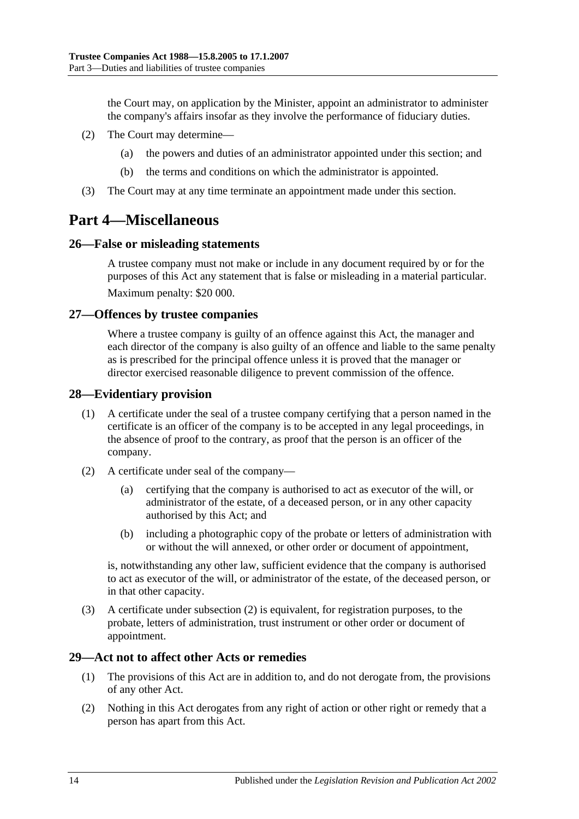the Court may, on application by the Minister, appoint an administrator to administer the company's affairs insofar as they involve the performance of fiduciary duties.

- (2) The Court may determine—
	- (a) the powers and duties of an administrator appointed under this section; and
	- (b) the terms and conditions on which the administrator is appointed.
- (3) The Court may at any time terminate an appointment made under this section.

## <span id="page-13-0"></span>**Part 4—Miscellaneous**

### <span id="page-13-1"></span>**26—False or misleading statements**

A trustee company must not make or include in any document required by or for the purposes of this Act any statement that is false or misleading in a material particular. Maximum penalty: \$20 000.

### <span id="page-13-2"></span>**27—Offences by trustee companies**

Where a trustee company is guilty of an offence against this Act, the manager and each director of the company is also guilty of an offence and liable to the same penalty as is prescribed for the principal offence unless it is proved that the manager or director exercised reasonable diligence to prevent commission of the offence.

### <span id="page-13-3"></span>**28—Evidentiary provision**

- (1) A certificate under the seal of a trustee company certifying that a person named in the certificate is an officer of the company is to be accepted in any legal proceedings, in the absence of proof to the contrary, as proof that the person is an officer of the company.
- <span id="page-13-5"></span>(2) A certificate under seal of the company—
	- (a) certifying that the company is authorised to act as executor of the will, or administrator of the estate, of a deceased person, or in any other capacity authorised by this Act; and
	- (b) including a photographic copy of the probate or letters of administration with or without the will annexed, or other order or document of appointment,

is, notwithstanding any other law, sufficient evidence that the company is authorised to act as executor of the will, or administrator of the estate, of the deceased person, or in that other capacity.

(3) A certificate under [subsection](#page-13-5) (2) is equivalent, for registration purposes, to the probate, letters of administration, trust instrument or other order or document of appointment.

### <span id="page-13-4"></span>**29—Act not to affect other Acts or remedies**

- (1) The provisions of this Act are in addition to, and do not derogate from, the provisions of any other Act.
- (2) Nothing in this Act derogates from any right of action or other right or remedy that a person has apart from this Act.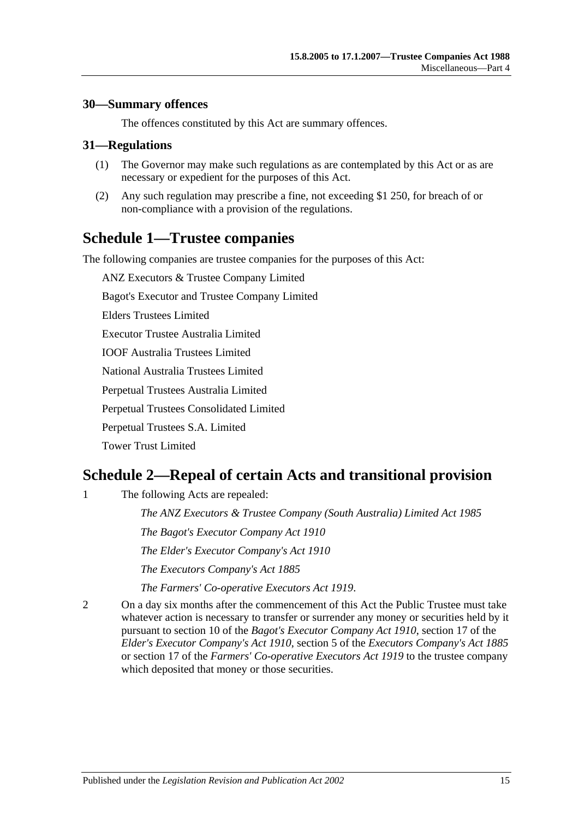### <span id="page-14-0"></span>**30—Summary offences**

The offences constituted by this Act are summary offences.

### <span id="page-14-1"></span>**31—Regulations**

- (1) The Governor may make such regulations as are contemplated by this Act or as are necessary or expedient for the purposes of this Act.
- (2) Any such regulation may prescribe a fine, not exceeding \$1 250, for breach of or non-compliance with a provision of the regulations.

## <span id="page-14-2"></span>**Schedule 1—Trustee companies**

The following companies are trustee companies for the purposes of this Act:

ANZ Executors & Trustee Company Limited

Bagot's Executor and Trustee Company Limited

Elders Trustees Limited

Executor Trustee Australia Limited

IOOF Australia Trustees Limited

National Australia Trustees Limited

Perpetual Trustees Australia Limited

Perpetual Trustees Consolidated Limited

Perpetual Trustees S.A. Limited

Tower Trust Limited

## <span id="page-14-3"></span>**Schedule 2—Repeal of certain Acts and transitional provision**

1 The following Acts are repealed:

*[The ANZ Executors & Trustee Company \(South Australia\) Limited Act](http://www.legislation.sa.gov.au/index.aspx?action=legref&type=act&legtitle=The%20ANZ%20Executors%20and%20Trustee%20Company%20(South%20Australia)%20Limited%20Act%201985) 1985 [The Bagot's Executor Company Act](http://www.legislation.sa.gov.au/index.aspx?action=legref&type=act&legtitle=The%20Bagots%20Executor%20Company%20Act%201910) 1910 [The Elder's Executor Company's Act](http://www.legislation.sa.gov.au/index.aspx?action=legref&type=act&legtitle=The%20Elders%20Executor%20Companys%20Act%201910) 1910 [The Executors Company's Act](http://www.legislation.sa.gov.au/index.aspx?action=legref&type=act&legtitle=The%20Executors%20Companys%20Act%201885) 1885*

*[The Farmers' Co-operative Executors Act](http://www.legislation.sa.gov.au/index.aspx?action=legref&type=act&legtitle=The%20Farmers%20Co-operative%20Executors%20Act%201919) 1919*.

2 On a day six months after the commencement of this Act the Public Trustee must take whatever action is necessary to transfer or surrender any money or securities held by it pursuant to section 10 of the *[Bagot's Executor Company Act](http://www.legislation.sa.gov.au/index.aspx?action=legref&type=act&legtitle=Bagots%20Executor%20Company%20Act%201910) 1910*, section 17 of the *[Elder's Executor Company's Act](http://www.legislation.sa.gov.au/index.aspx?action=legref&type=act&legtitle=Elders%20Executor%20Companys%20Act%201910) 1910*, section 5 of the *[Executors Company's Act](http://www.legislation.sa.gov.au/index.aspx?action=legref&type=act&legtitle=Executors%20Companys%20Act%201885) 1885* or section 17 of the *[Farmers' Co-operative Executors Act](http://www.legislation.sa.gov.au/index.aspx?action=legref&type=act&legtitle=Farmers%20Co-operative%20Executors%20Act%201919) 1919* to the trustee company which deposited that money or those securities.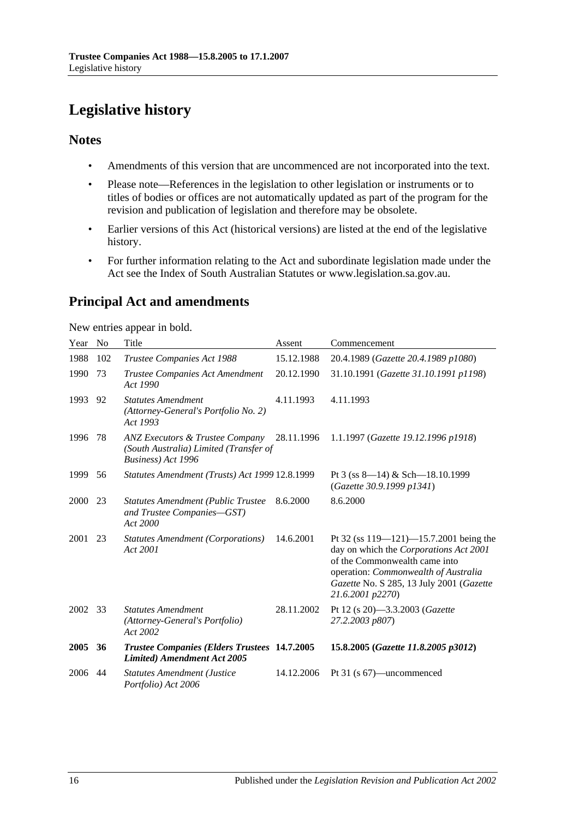# <span id="page-15-0"></span>**Legislative history**

### **Notes**

- Amendments of this version that are uncommenced are not incorporated into the text.
- Please note—References in the legislation to other legislation or instruments or to titles of bodies or offices are not automatically updated as part of the program for the revision and publication of legislation and therefore may be obsolete.
- Earlier versions of this Act (historical versions) are listed at the end of the legislative history.
- For further information relating to the Act and subordinate legislation made under the Act see the Index of South Australian Statutes or www.legislation.sa.gov.au.

## **Principal Act and amendments**

New entries appear in bold.

| Year | <b>No</b> | Title                                                                                                      | Assent     | Commencement                                                                                                                                                                                                                    |
|------|-----------|------------------------------------------------------------------------------------------------------------|------------|---------------------------------------------------------------------------------------------------------------------------------------------------------------------------------------------------------------------------------|
| 1988 | 102       | Trustee Companies Act 1988                                                                                 | 15.12.1988 | 20.4.1989 (Gazette 20.4.1989 p1080)                                                                                                                                                                                             |
| 1990 | 73        | Trustee Companies Act Amendment<br>Act 1990                                                                | 20.12.1990 | 31.10.1991 (Gazette 31.10.1991 p1198)                                                                                                                                                                                           |
| 1993 | 92        | <b>Statutes Amendment</b><br>(Attorney-General's Portfolio No. 2)<br>Act 1993                              | 4.11.1993  | 4.11.1993                                                                                                                                                                                                                       |
| 1996 | 78        | <b>ANZ Executors &amp; Trustee Company</b><br>(South Australia) Limited (Transfer of<br>Business) Act 1996 | 28.11.1996 | 1.1.1997 (Gazette 19.12.1996 p1918)                                                                                                                                                                                             |
| 1999 | 56        | Statutes Amendment (Trusts) Act 1999 12.8.1999                                                             |            | Pt 3 (ss $8-14$ ) & Sch $-18.10.1999$<br>(Gazette 30.9.1999 p1341)                                                                                                                                                              |
| 2000 | 23        | <b>Statutes Amendment (Public Trustee</b><br>and Trustee Companies-GST)<br>Act 2000                        | 8.6.2000   | 8.6.2000                                                                                                                                                                                                                        |
| 2001 | 23        | <b>Statutes Amendment (Corporations)</b><br>Act 2001                                                       | 14.6.2001  | Pt 32 (ss $119 - 121$ ) -15.7.2001 being the<br>day on which the Corporations Act 2001<br>of the Commonwealth came into<br>operation: Commonwealth of Australia<br>Gazette No. S 285, 13 July 2001 (Gazette<br>21.6.2001 p2270) |
| 2002 | 33        | <b>Statutes Amendment</b><br>(Attorney-General's Portfolio)<br>Act 2002                                    | 28.11.2002 | Pt 12 (s 20)-3.3.2003 (Gazette<br>27.2.2003 p807)                                                                                                                                                                               |
| 2005 | 36        | <b>Trustee Companies (Elders Trustees 14.7.2005</b><br><b>Limited)</b> Amendment Act 2005                  |            | 15.8.2005 (Gazette 11.8.2005 p3012)                                                                                                                                                                                             |
| 2006 | 44        | <b>Statutes Amendment (Justice</b><br>Portfolio) Act 2006                                                  | 14.12.2006 | Pt 31 (s 67)—uncommenced                                                                                                                                                                                                        |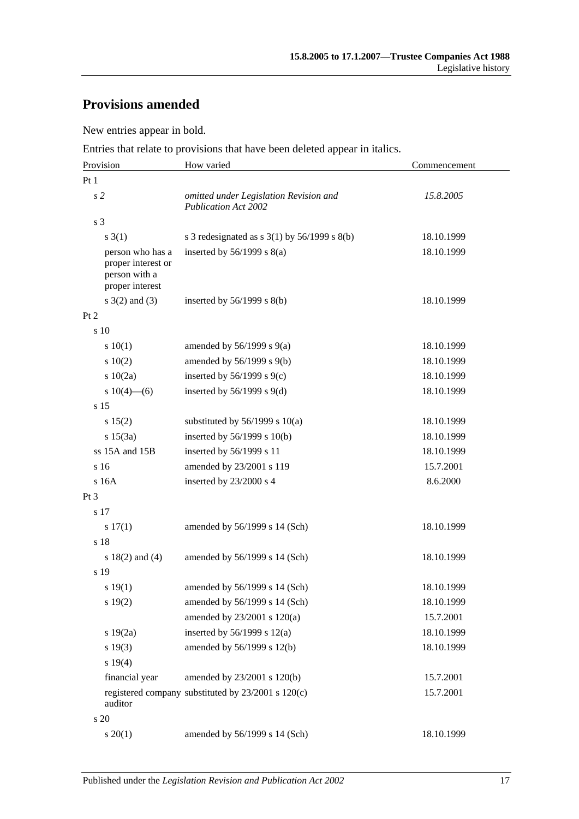## **Provisions amended**

New entries appear in bold.

Entries that relate to provisions that have been deleted appear in italics.

| Provision                                                                  | How varied                                                            | Commencement |
|----------------------------------------------------------------------------|-----------------------------------------------------------------------|--------------|
| Pt <sub>1</sub>                                                            |                                                                       |              |
| s <sub>2</sub>                                                             | omitted under Legislation Revision and<br><b>Publication Act 2002</b> | 15.8.2005    |
| s 3                                                                        |                                                                       |              |
| $s \; 3(1)$                                                                | s 3 redesignated as s $3(1)$ by $56/1999$ s $8(b)$                    | 18.10.1999   |
| person who has a<br>proper interest or<br>person with a<br>proper interest | inserted by $56/1999$ s $8(a)$                                        | 18.10.1999   |
| $s \; 3(2)$ and (3)                                                        | inserted by $56/1999$ s $8(b)$                                        | 18.10.1999   |
| Pt 2                                                                       |                                                                       |              |
| s 10                                                                       |                                                                       |              |
| 10(1)                                                                      | amended by $56/1999$ s $9(a)$                                         | 18.10.1999   |
| 10(2)                                                                      | amended by 56/1999 s 9(b)                                             | 18.10.1999   |
| 10(2a)                                                                     | inserted by $56/1999$ s $9(c)$                                        | 18.10.1999   |
| s $10(4)$ —(6)                                                             | inserted by $56/1999$ s $9(d)$                                        | 18.10.1999   |
| s 15                                                                       |                                                                       |              |
| s 15(2)                                                                    | substituted by $56/1999$ s $10(a)$                                    | 18.10.1999   |
| s 15(3a)                                                                   | inserted by $56/1999$ s $10(b)$                                       | 18.10.1999   |
| ss 15A and 15B                                                             | inserted by 56/1999 s 11                                              | 18.10.1999   |
| s 16                                                                       | amended by 23/2001 s 119                                              | 15.7.2001    |
| s 16A                                                                      | inserted by 23/2000 s 4                                               | 8.6.2000     |
| Pt <sub>3</sub>                                                            |                                                                       |              |
| s 17                                                                       |                                                                       |              |
| s 17(1)                                                                    | amended by 56/1999 s 14 (Sch)                                         | 18.10.1999   |
| s 18                                                                       |                                                                       |              |
| s $18(2)$ and $(4)$                                                        | amended by 56/1999 s 14 (Sch)                                         | 18.10.1999   |
| s 19                                                                       |                                                                       |              |
| s 19(1)                                                                    | amended by 56/1999 s 14 (Sch)                                         | 18.10.1999   |
| s 19(2)                                                                    | amended by 56/1999 s 14 (Sch)                                         | 18.10.1999   |
|                                                                            | amended by 23/2001 s 120(a)                                           | 15.7.2001    |
| s 19(2a)                                                                   | inserted by $56/1999$ s $12(a)$                                       | 18.10.1999   |
| s 19(3)                                                                    | amended by 56/1999 s 12(b)                                            | 18.10.1999   |
| s 19(4)                                                                    |                                                                       |              |
| financial year                                                             | amended by 23/2001 s 120(b)                                           | 15.7.2001    |
| auditor                                                                    | registered company substituted by 23/2001 s 120(c)                    | 15.7.2001    |
| s 20                                                                       |                                                                       |              |
| $s \ 20(1)$                                                                | amended by 56/1999 s 14 (Sch)                                         | 18.10.1999   |